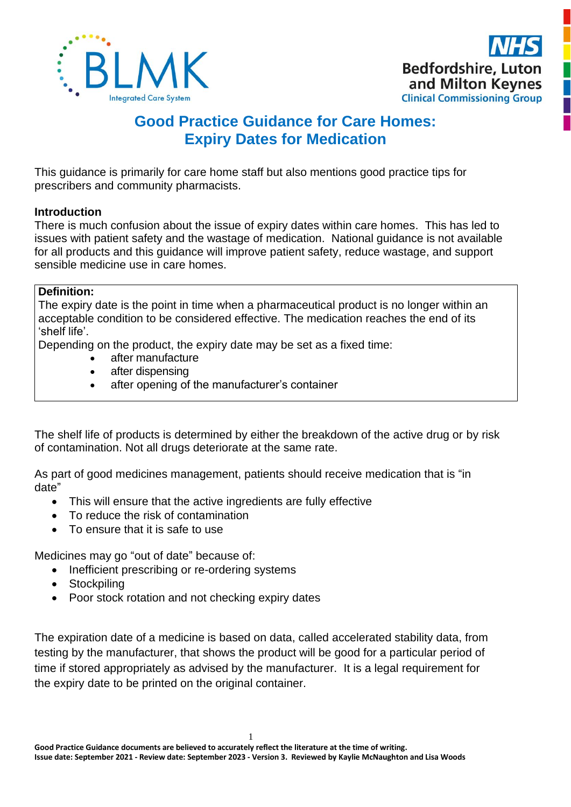



# **Good Practice Guidance for Care Homes: Expiry Dates for Medication**

This guidance is primarily for care home staff but also mentions good practice tips for prescribers and community pharmacists.

# **Introduction**

There is much confusion about the issue of expiry dates within care homes. This has led to issues with patient safety and the wastage of medication. National guidance is not available for all products and this guidance will improve patient safety, reduce wastage, and support sensible medicine use in care homes.

# **Definition:**

The expiry date is the point in time when a pharmaceutical product is no longer within an acceptable condition to be considered effective. The medication reaches the end of its 'shelf life'.

Depending on the product, the expiry date may be set as a fixed time:

- after manufacture
- after dispensing
- after opening of the manufacturer's container

The shelf life of products is determined by either the breakdown of the active drug or by risk of contamination. Not all drugs deteriorate at the same rate.

As part of good medicines management, patients should receive medication that is "in date"

- This will ensure that the active ingredients are fully effective
- To reduce the risk of contamination
- To ensure that it is safe to use

Medicines may go "out of date" because of:

- Inefficient prescribing or re-ordering systems
- Stockpiling
- Poor stock rotation and not checking expiry dates

The expiration date of a medicine is based on data, called accelerated stability data, from testing by the manufacturer, that shows the product will be good for a particular period of time if stored appropriately as advised by the manufacturer. It is a legal requirement for the expiry date to be printed on the original container.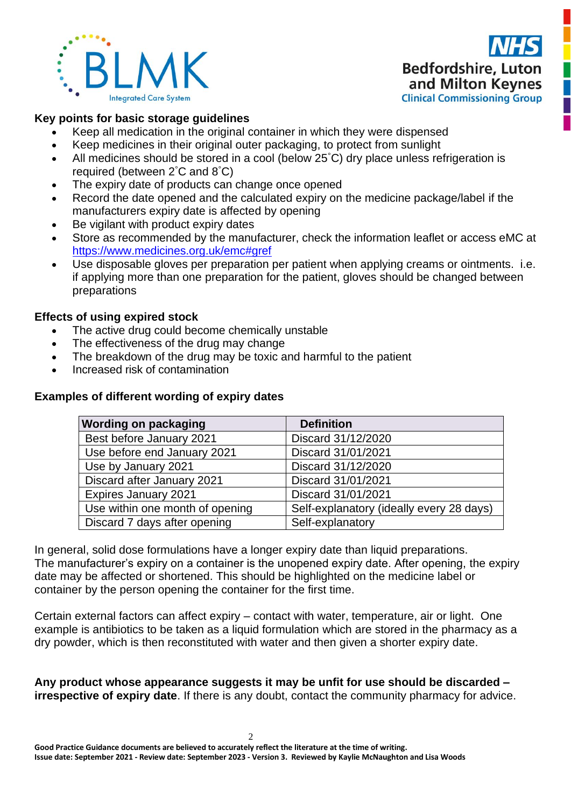



## **Key points for basic storage guidelines**

- Keep all medication in the original container in which they were dispensed
- Keep medicines in their original outer packaging, to protect from sunlight
- All medicines should be stored in a cool (below 25°C) dry place unless refrigeration is required (between 2°C and 8°C)
- The expiry date of products can change once opened
- Record the date opened and the calculated expiry on the medicine package/label if the manufacturers expiry date is affected by opening
- Be vigilant with product expiry dates
- Store as recommended by the manufacturer, check the information leaflet or access eMC at <https://www.medicines.org.uk/emc#gref>
- Use disposable gloves per preparation per patient when applying creams or ointments. i.e. if applying more than one preparation for the patient, gloves should be changed between preparations

# **Effects of using expired stock**

- The active drug could become chemically unstable
- The effectiveness of the drug may change
- The breakdown of the drug may be toxic and harmful to the patient
- Increased risk of contamination

# **Examples of different wording of expiry dates**

| <b>Wording on packaging</b>     | <b>Definition</b>                        |
|---------------------------------|------------------------------------------|
| Best before January 2021        | Discard 31/12/2020                       |
| Use before end January 2021     | Discard 31/01/2021                       |
| Use by January 2021             | Discard 31/12/2020                       |
| Discard after January 2021      | Discard 31/01/2021                       |
| <b>Expires January 2021</b>     | Discard 31/01/2021                       |
| Use within one month of opening | Self-explanatory (ideally every 28 days) |
| Discard 7 days after opening    | Self-explanatory                         |

In general, solid dose formulations have a longer expiry date than liquid preparations. The manufacturer's expiry on a container is the unopened expiry date. After opening, the expiry date may be affected or shortened. This should be highlighted on the medicine label or container by the person opening the container for the first time.

Certain external factors can affect expiry – contact with water, temperature, air or light. One example is antibiotics to be taken as a liquid formulation which are stored in the pharmacy as a dry powder, which is then reconstituted with water and then given a shorter expiry date.

**Any product whose appearance suggests it may be unfit for use should be discarded – irrespective of expiry date**. If there is any doubt, contact the community pharmacy for advice.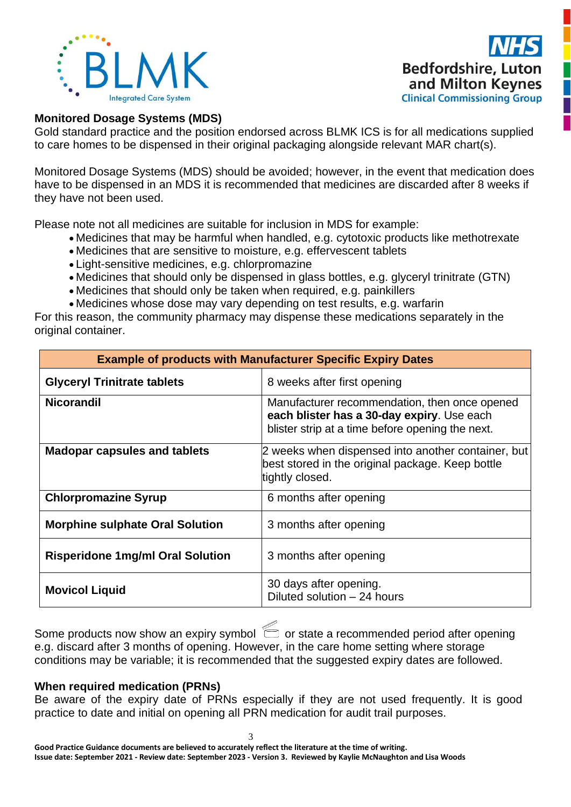



## **Monitored Dosage Systems (MDS)**

Gold standard practice and the position endorsed across BLMK ICS is for all medications supplied to care homes to be dispensed in their original packaging alongside relevant MAR chart(s).

Monitored Dosage Systems (MDS) should be avoided; however, in the event that medication does have to be dispensed in an MDS it is recommended that medicines are discarded after 8 weeks if they have not been used.

Please note not all medicines are suitable for inclusion in MDS for example:

- Medicines that may be harmful when handled, e.g. cytotoxic products like methotrexate
- Medicines that are sensitive to moisture, e.g. effervescent tablets
- Light-sensitive medicines, e.g. chlorpromazine
- Medicines that should only be dispensed in glass bottles, e.g. glyceryl trinitrate (GTN)
- Medicines that should only be taken when required, e.g. painkillers
- Medicines whose dose may vary depending on test results, e.g. warfarin

For this reason, the community pharmacy may dispense these medications separately in the original container.

| <b>Example of products with Manufacturer Specific Expiry Dates</b> |                                                                                                                                                 |  |  |
|--------------------------------------------------------------------|-------------------------------------------------------------------------------------------------------------------------------------------------|--|--|
| <b>Glyceryl Trinitrate tablets</b>                                 | 8 weeks after first opening                                                                                                                     |  |  |
| <b>Nicorandil</b>                                                  | Manufacturer recommendation, then once opened<br>each blister has a 30-day expiry. Use each<br>blister strip at a time before opening the next. |  |  |
| <b>Madopar capsules and tablets</b>                                | 2 weeks when dispensed into another container, but<br>best stored in the original package. Keep bottle<br>tightly closed.                       |  |  |
| <b>Chlorpromazine Syrup</b>                                        | 6 months after opening                                                                                                                          |  |  |
| <b>Morphine sulphate Oral Solution</b>                             | 3 months after opening                                                                                                                          |  |  |
| <b>Risperidone 1mg/ml Oral Solution</b>                            | 3 months after opening                                                                                                                          |  |  |
| <b>Movicol Liquid</b>                                              | 30 days after opening.<br>Diluted solution - 24 hours                                                                                           |  |  |

Some products now show an expiry symbol  $\epsilon$  or state a recommended period after opening e.g. discard after 3 months of opening. However, in the care home setting where storage conditions may be variable; it is recommended that the suggested expiry dates are followed.

#### **When required medication (PRNs)**

Be aware of the expiry date of PRNs especially if they are not used frequently. It is good practice to date and initial on opening all PRN medication for audit trail purposes.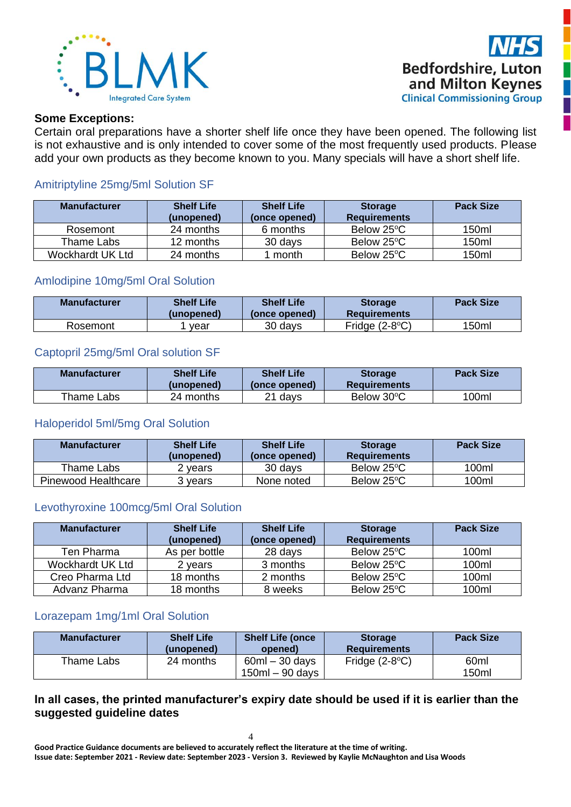



#### **Some Exceptions:**

Certain oral preparations have a shorter shelf life once they have been opened. The following list is not exhaustive and is only intended to cover some of the most frequently used products. Please add your own products as they become known to you. Many specials will have a short shelf life.

## Amitriptyline 25mg/5ml Solution SF

| <b>Manufacturer</b> | <b>Shelf Life</b><br>(unopened) | <b>Shelf Life</b><br>(once opened) | <b>Storage</b><br><b>Requirements</b> | <b>Pack Size</b> |
|---------------------|---------------------------------|------------------------------------|---------------------------------------|------------------|
| Rosemont            | 24 months                       | 6 months                           | Below 25°C                            | 150ml            |
| Thame Labs          | 12 months                       | 30 days                            | Below 25°C                            | 150ml            |
| Wockhardt UK Ltd    | 24 months                       | month                              | Below 25°C                            | 150ml            |

## Amlodipine 10mg/5ml Oral Solution

| <b>Manufacturer</b> | <b>Shelf Life</b><br>(unopened) | <b>Shelf Life</b><br>(once opened) | <b>Storage</b><br><b>Requirements</b> | <b>Pack Size</b> |
|---------------------|---------------------------------|------------------------------------|---------------------------------------|------------------|
| Rosemont            | vear                            | 30 days                            | Fridge $(2-8°C)$                      | 150ml            |

## Captopril 25mg/5ml Oral solution SF

| <b>Manufacturer</b> | <b>Shelf Life</b><br>(unopened) | <b>Shelf Life</b><br>(once opened) | <b>Storage</b><br>Requirements | <b>Pack Size</b> |
|---------------------|---------------------------------|------------------------------------|--------------------------------|------------------|
| Thame Labs          | 24 months                       | 21 davs                            | Below 30°C                     | 100ml            |

## Haloperidol 5ml/5mg Oral Solution

| <b>Manufacturer</b> | <b>Shelf Life</b><br>(unopened) | <b>Shelf Life</b><br>(once opened) | <b>Storage</b><br><b>Requirements</b> | <b>Pack Size</b> |
|---------------------|---------------------------------|------------------------------------|---------------------------------------|------------------|
| Thame Labs          | ? vears                         | 30 days                            | Below 25°C                            | 100ml            |
| Pinewood Healthcare | vears                           | None noted                         | Below 25°C                            | 100ml            |

#### Levothyroxine 100mcg/5ml Oral Solution

| <b>Manufacturer</b> | <b>Shelf Life</b><br>(unopened) | <b>Shelf Life</b><br>(once opened) | <b>Storage</b><br><b>Requirements</b> | <b>Pack Size</b> |
|---------------------|---------------------------------|------------------------------------|---------------------------------------|------------------|
| Ten Pharma          | As per bottle                   | 28 days                            | Below 25°C                            | 100ml            |
| Wockhardt UK Ltd    | 2 vears                         | 3 months                           | Below 25°C                            | 100ml            |
| Creo Pharma Ltd     | 18 months                       | 2 months                           | Below 25°C                            | 100ml            |
| Advanz Pharma       | 18 months                       | 8 weeks                            | Below 25°C                            | 100ml            |

## Lorazepam 1mg/1ml Oral Solution

| <b>Manufacturer</b> | <b>Shelf Life</b><br>(unopened) | <b>Shelf Life (once</b><br>opened)  | <b>Storage</b><br><b>Requirements</b> | <b>Pack Size</b> |
|---------------------|---------------------------------|-------------------------------------|---------------------------------------|------------------|
| Thame Labs          | 24 months                       | $60ml - 30 days$<br>150ml – 90 days | Fridge $(2-8°C)$                      | 60ml<br>150ml    |

## **In all cases, the printed manufacturer's expiry date should be used if it is earlier than the suggested guideline dates**

**Good Practice Guidance documents are believed to accurately reflect the literature at the time of writing. Issue date: September 2021 - Review date: September 2023 - Version 3. Reviewed by Kaylie McNaughton and Lisa Woods**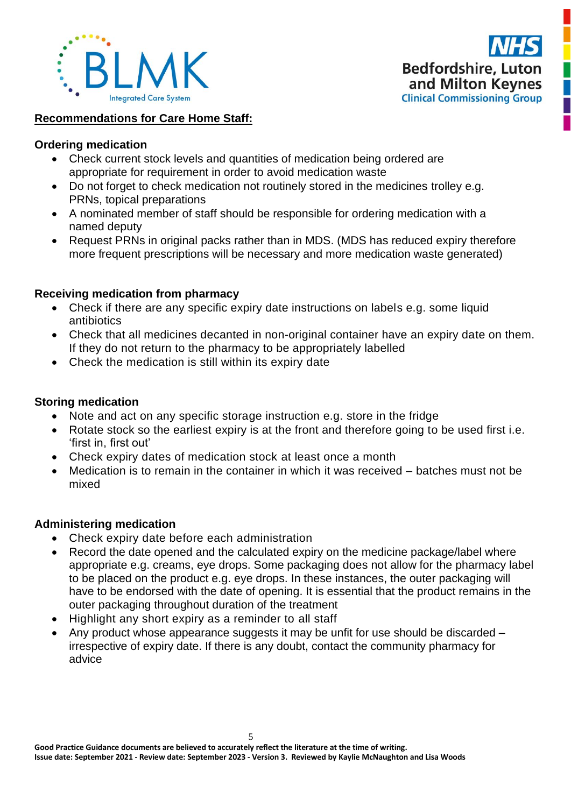



## **Recommendations for Care Home Staff:**

## **Ordering medication**

- Check current stock levels and quantities of medication being ordered are appropriate for requirement in order to avoid medication waste
- Do not forget to check medication not routinely stored in the medicines trolley e.g. PRNs, topical preparations
- A nominated member of staff should be responsible for ordering medication with a named deputy
- Request PRNs in original packs rather than in MDS. (MDS has reduced expiry therefore more frequent prescriptions will be necessary and more medication waste generated)

## **Receiving medication from pharmacy**

- Check if there are any specific expiry date instructions on labels e.g. some liquid antibiotics
- Check that all medicines decanted in non-original container have an expiry date on them. If they do not return to the pharmacy to be appropriately labelled
- Check the medication is still within its expiry date

## **Storing medication**

- Note and act on any specific storage instruction e.g. store in the fridge
- Rotate stock so the earliest expiry is at the front and therefore going to be used first i.e. 'first in, first out'
- Check expiry dates of medication stock at least once a month
- Medication is to remain in the container in which it was received batches must not be mixed

#### **Administering medication**

- Check expiry date before each administration
- Record the date opened and the calculated expiry on the medicine package/label where appropriate e.g. creams, eye drops. Some packaging does not allow for the pharmacy label to be placed on the product e.g. eye drops. In these instances, the outer packaging will have to be endorsed with the date of opening. It is essential that the product remains in the outer packaging throughout duration of the treatment
- Highlight any short expiry as a reminder to all staff
- Any product whose appearance suggests it may be unfit for use should be discarded irrespective of expiry date. If there is any doubt, contact the community pharmacy for advice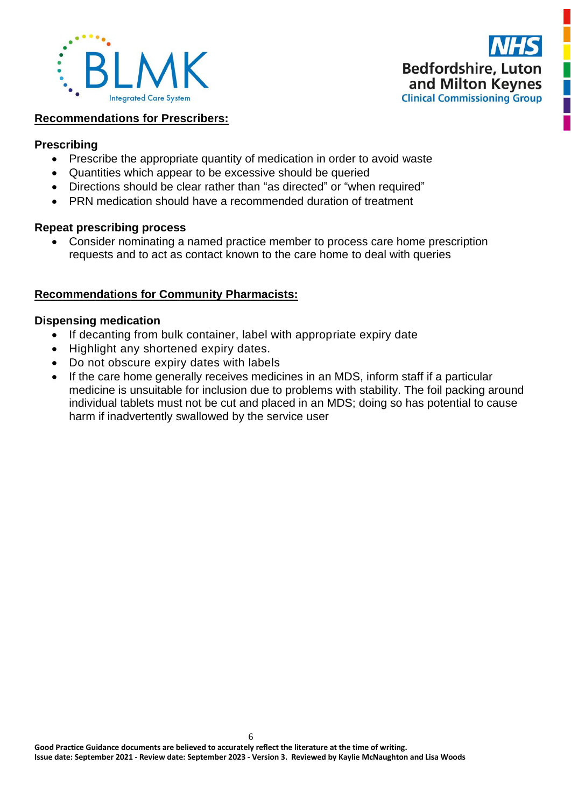



## **Recommendations for Prescribers:**

#### **Prescribing**

- Prescribe the appropriate quantity of medication in order to avoid waste
- Quantities which appear to be excessive should be queried
- Directions should be clear rather than "as directed" or "when required"
- PRN medication should have a recommended duration of treatment

## **Repeat prescribing process**

• Consider nominating a named practice member to process care home prescription requests and to act as contact known to the care home to deal with queries

## **Recommendations for Community Pharmacists:**

## **Dispensing medication**

- If decanting from bulk container, label with appropriate expiry date
- Highlight any shortened expiry dates.
- Do not obscure expiry dates with labels
- If the care home generally receives medicines in an MDS, inform staff if a particular medicine is unsuitable for inclusion due to problems with stability. The foil packing around individual tablets must not be cut and placed in an MDS; doing so has potential to cause harm if inadvertently swallowed by the service user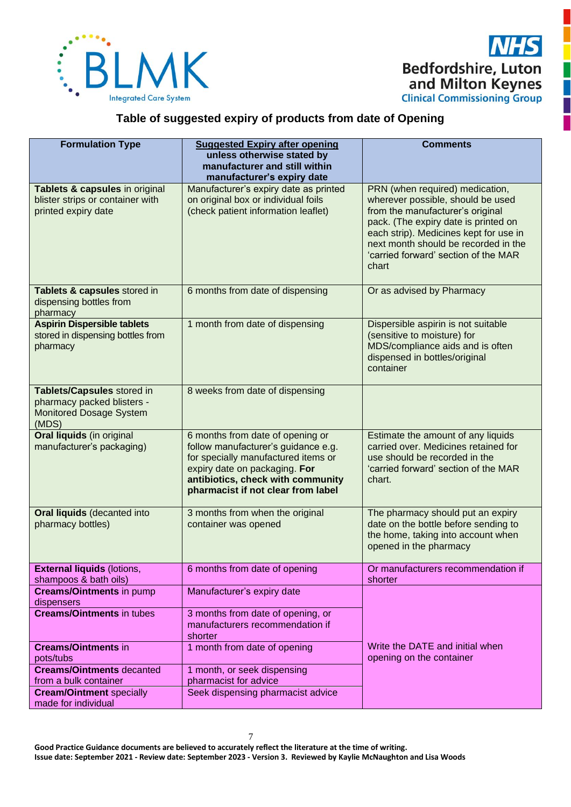

# **Table of suggested expiry of products from date of Opening**

| <b>Formulation Type</b>                                                                             | <b>Suggested Expiry after opening</b><br>unless otherwise stated by<br>manufacturer and still within<br>manufacturer's expiry date                                                                                         | <b>Comments</b>                                                                                                                                                                                                                                                                     |
|-----------------------------------------------------------------------------------------------------|----------------------------------------------------------------------------------------------------------------------------------------------------------------------------------------------------------------------------|-------------------------------------------------------------------------------------------------------------------------------------------------------------------------------------------------------------------------------------------------------------------------------------|
| Tablets & capsules in original<br>blister strips or container with<br>printed expiry date           | Manufacturer's expiry date as printed<br>on original box or individual foils<br>(check patient information leaflet)                                                                                                        | PRN (when required) medication,<br>wherever possible, should be used<br>from the manufacturer's original<br>pack. (The expiry date is printed on<br>each strip). Medicines kept for use in<br>next month should be recorded in the<br>'carried forward' section of the MAR<br>chart |
| Tablets & capsules stored in<br>dispensing bottles from<br>pharmacy                                 | 6 months from date of dispensing                                                                                                                                                                                           | Or as advised by Pharmacy                                                                                                                                                                                                                                                           |
| <b>Aspirin Dispersible tablets</b><br>stored in dispensing bottles from<br>pharmacy                 | 1 month from date of dispensing                                                                                                                                                                                            | Dispersible aspirin is not suitable<br>(sensitive to moisture) for<br>MDS/compliance aids and is often<br>dispensed in bottles/original<br>container                                                                                                                                |
| Tablets/Capsules stored in<br>pharmacy packed blisters -<br><b>Monitored Dosage System</b><br>(MDS) | 8 weeks from date of dispensing                                                                                                                                                                                            |                                                                                                                                                                                                                                                                                     |
| Oral liquids (in original<br>manufacturer's packaging)                                              | 6 months from date of opening or<br>follow manufacturer's guidance e.g.<br>for specially manufactured items or<br>expiry date on packaging. For<br>antibiotics, check with community<br>pharmacist if not clear from label | Estimate the amount of any liquids<br>carried over. Medicines retained for<br>use should be recorded in the<br>'carried forward' section of the MAR<br>chart.                                                                                                                       |
| <b>Oral liquids (decanted into</b><br>pharmacy bottles)                                             | 3 months from when the original<br>container was opened                                                                                                                                                                    | The pharmacy should put an expiry<br>date on the bottle before sending to<br>the home, taking into account when<br>opened in the pharmacy                                                                                                                                           |
| <b>External liquids (lotions,</b><br>shampoos & bath oils)                                          | 6 months from date of opening                                                                                                                                                                                              | Or manufacturers recommendation if<br>shorter                                                                                                                                                                                                                                       |
| <b>Creams/Ointments in pump</b><br>dispensers                                                       | Manufacturer's expiry date                                                                                                                                                                                                 |                                                                                                                                                                                                                                                                                     |
| <b>Creams/Ointments in tubes</b>                                                                    | 3 months from date of opening, or<br>manufacturers recommendation if<br>shorter                                                                                                                                            |                                                                                                                                                                                                                                                                                     |
| <b>Creams/Ointments in</b><br>pots/tubs                                                             | 1 month from date of opening                                                                                                                                                                                               | Write the DATE and initial when<br>opening on the container                                                                                                                                                                                                                         |
| <b>Creams/Ointments decanted</b><br>from a bulk container                                           | 1 month, or seek dispensing<br>pharmacist for advice                                                                                                                                                                       |                                                                                                                                                                                                                                                                                     |
| <b>Cream/Ointment specially</b><br>made for individual                                              | Seek dispensing pharmacist advice                                                                                                                                                                                          |                                                                                                                                                                                                                                                                                     |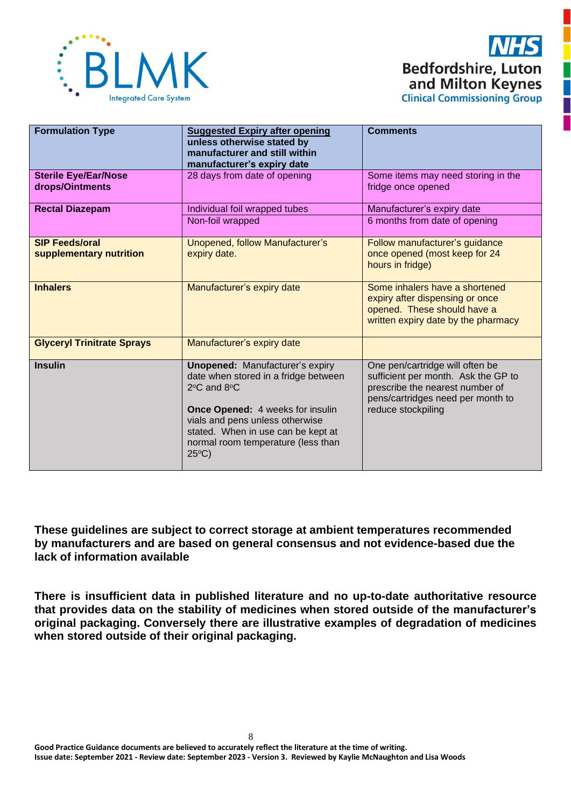



| <b>Formulation Type</b>                          | <b>Suggested Expiry after opening</b><br>unless otherwise stated by<br>manufacturer and still within<br>manufacturer's expiry date                                                                                                                                                      | <b>Comments</b>                                                                                                                                                      |
|--------------------------------------------------|-----------------------------------------------------------------------------------------------------------------------------------------------------------------------------------------------------------------------------------------------------------------------------------------|----------------------------------------------------------------------------------------------------------------------------------------------------------------------|
| <b>Sterile Eye/Ear/Nose</b><br>drops/Ointments   | 28 days from date of opening                                                                                                                                                                                                                                                            | Some items may need storing in the<br>fridge once opened                                                                                                             |
| <b>Rectal Diazepam</b>                           | Individual foil wrapped tubes                                                                                                                                                                                                                                                           | Manufacturer's expiry date                                                                                                                                           |
|                                                  | Non-foil wrapped                                                                                                                                                                                                                                                                        | 6 months from date of opening                                                                                                                                        |
| <b>SIP Feeds/oral</b><br>supplementary nutrition | Unopened, follow Manufacturer's<br>expiry date.                                                                                                                                                                                                                                         | Follow manufacturer's guidance<br>once opened (most keep for 24<br>hours in fridge)                                                                                  |
| <b>Inhalers</b>                                  | Manufacturer's expiry date                                                                                                                                                                                                                                                              | Some inhalers have a shortened<br>expiry after dispensing or once<br>opened. These should have a<br>written expiry date by the pharmacy                              |
| <b>Glyceryl Trinitrate Sprays</b>                | Manufacturer's expiry date                                                                                                                                                                                                                                                              |                                                                                                                                                                      |
| <b>Insulin</b>                                   | <b>Unopened: Manufacturer's expiry</b><br>date when stored in a fridge between<br>$2^{\circ}$ C and $8^{\circ}$ C<br>Once Opened: 4 weeks for insulin<br>vials and pens unless otherwise<br>stated. When in use can be kept at<br>normal room temperature (less than<br>$25^{\circ}$ C) | One pen/cartridge will often be<br>sufficient per month. Ask the GP to<br>prescribe the nearest number of<br>pens/cartridges need per month to<br>reduce stockpiling |

**These guidelines are subject to correct storage at ambient temperatures recommended by manufacturers and are based on general consensus and not evidence-based due the lack of information available**

**There is insufficient data in published literature and no up-to-date authoritative resource that provides data on the stability of medicines when stored outside of the manufacturer's original packaging. Conversely there are illustrative examples of degradation of medicines when stored outside of their original packaging.**